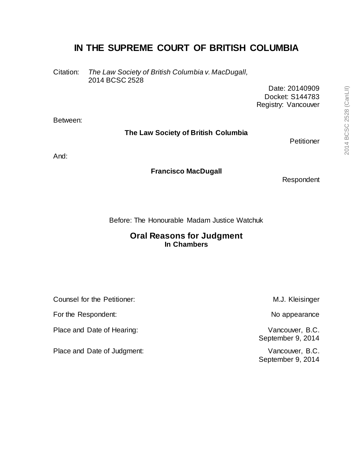# **IN THE SUPREME COURT OF BRITISH COLUMBIA**

Citation: *The Law Society of British Columbia v. MacDugall,* 2014 BCSC 2528

> Date: 20140909 Docket: S144783 Registry: Vancouver

Between:

### **The Law Society of British Columbia**

Petitioner

And:

#### **Francisco MacDugall**

Respondent

Before: The Honourable Madam Justice Watchuk

### **Oral Reasons for Judgment In Chambers**

Counsel for the Petitioner:  $M.J.$  Kleisinger

For the Respondent: No appearance No appearance No appearance

Place and Date of Hearing: Vancouver, B.C.

Place and Date of Judgment: Vancouver, B.C.

September 9, 2014

September 9, 2014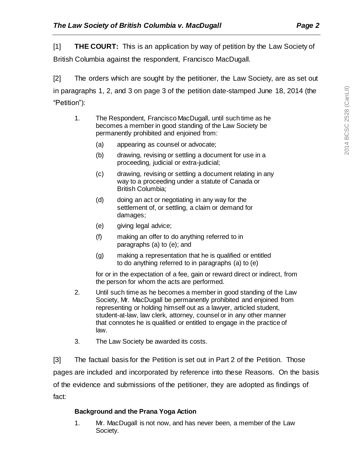[1] **THE COURT:** This is an application by way of petition by the Law Society of

British Columbia against the respondent, Francisco MacDugall.

[2] The orders which are sought by the petitioner, the Law Society, are as set out in paragraphs 1, 2, and 3 on page 3 of the petition date-stamped June 18, 2014 (the "Petition"):

- 1. The Respondent, Francisco MacDugall, until such time as he becomes a member in good standing of the Law Society be permanently prohibited and enjoined from:
	- (a) appearing as counsel or advocate;
	- (b) drawing, revising or settling a document for use in a proceeding, judicial or extra-judicial;
	- (c) drawing, revising or settling a document relating in any way to a proceeding under a statute of Canada or British Columbia;
	- (d) doing an act or negotiating in any way for the settlement of, or settling, a claim or demand for damages;
	- (e) giving legal advice;
	- (f) making an offer to do anything referred to in paragraphs (a) to (e); and
	- (g) making a representation that he is qualified or entitled to do anything referred to in paragraphs (a) to (e)

for or in the expectation of a fee, gain or reward direct or indirect, from the person for whom the acts are performed.

- 2. Until such time as he becomes a member in good standing of the Law Society, Mr. MacDugall be permanently prohibited and enjoined from representing or holding himself out as a lawyer, articled student, student-at-law, law clerk, attorney, counsel or in any other manner that connotes he is qualified or entitled to engage in the practice of law.
- 3. The Law Society be awarded its costs.

[3] The factual basis for the Petition is set out in Part 2 of the Petition. Those pages are included and incorporated by reference into these Reasons. On the basis of the evidence and submissions of the petitioner, they are adopted as findings of fact:

## **Background and the Prana Yoga Action**

1. Mr. MacDugall is not now, and has never been, a member of the Law Society.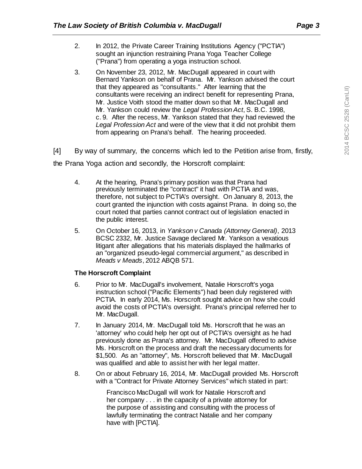- 2. In 2012, the Private Career Training Institutions Agency ("PCTIA") sought an injunction restraining Prana Yoga Teacher College ("Prana") from operating a yoga instruction school.
- 3. On November 23, 2012, Mr. MacDugall appeared in court with Bernard Yankson on behalf of Prana. Mr. Yankson advised the court that they appeared as "consultants." After learning that the consultants were receiving an indirect benefit for representing Prana, Mr. Justice Voith stood the matter down so that Mr. MacDugall and Mr. Yankson could review the *Legal Profession Act*, S. B.C. 1998, c. 9. After the recess, Mr. Yankson stated that they had reviewed the *Legal Profession Act* and were of the view that it did not prohibit them from appearing on Prana's behalf. The hearing proceeded.

[4] By way of summary, the concerns which led to the Petition arise from, firstly, the Prana Yoga action and secondly, the Horscroft complaint:

- 4. At the hearing, Prana's primary position was that Prana had previously terminated the "contract" it had with PCTIA and was, therefore, not subject to PCTIA's oversight. On January 8, 2013, the court granted the injunction with costs against Prana. In doing so, the court noted that parties cannot contract out of legislation enacted in the public interest.
- 5. On October 16, 2013, in *Yankson v Canada (Attorney General)*, 2013 BCSC 2332, Mr. Justice Savage declared Mr. Yankson a vexatious litigant after allegations that his materials displayed the hallmarks of an "organized pseudo-legal commercial argument," as described in *Meads v Meads*, 2012 ABQB 571.

### **The Horscroft Complaint**

- 6. Prior to Mr. MacDugall's involvement, Natalie Horscroft's yoga instruction school ("Pacific Elements") had been duly registered with PCTIA. In early 2014, Ms. Horscroft sought advice on how she could avoid the costs of PCTIA's oversight. Prana's principal referred her to Mr. MacDugall.
- 7. In January 2014, Mr. MacDugall told Ms. Horscroft that he was an 'attorney' who could help her opt out of PCTIA's oversight as he had previously done as Prana's attorney. Mr. MacDugall offered to advise Ms. Horscroft on the process and draft the necessary documents for \$1,500. As an "attorney", Ms. Horscroft believed that Mr. MacDugall was qualified and able to assist her with her legal matter.
- 8. On or about February 16, 2014, Mr. MacDugall provided Ms. Horscroft with a "Contract for Private Attorney Services" which stated in part:

Francisco MacDugall will work for Natalie Horscroft and her company . . . in the capacity of a private attorney for the purpose of assisting and consulting with the process of lawfully terminating the contract Natalie and her company have with [PCTIA].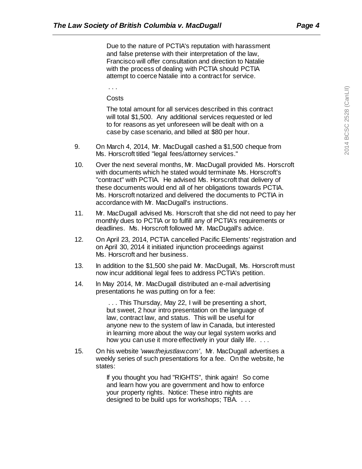Due to the nature of PCTIA's reputation with harassment and false pretense with their interpretation of the law, Francisco will offer consultation and direction to Natalie with the process of dealing with PCTIA should PCTIA attempt to coerce Natalie into a contract for service.

. . .

**Costs** 

The total amount for all services described in this contract will total \$1,500. Any additional services requested or led to for reasons as yet unforeseen will be dealt with on a case by case scenario, and billed at \$80 per hour.

- 9. On March 4, 2014, Mr. MacDugall cashed a \$1,500 cheque from Ms. Horscroft titled "legal fees/attorney services."
- 10. Over the next several months, Mr. MacDugall provided Ms. Horscroft with documents which he stated would terminate Ms. Horscroft's "contract" with PCTIA. He advised Ms. Horscroft that delivery of these documents would end all of her obligations towards PCTIA. Ms. Horscroft notarized and delivered the documents to PCTIA in accordance with Mr. MacDugall's instructions.
- 11. Mr. MacDugall advised Ms. Horscroft that she did not need to pay her monthly dues to PCTIA or to fulfill any of PCTIA's requirements or deadlines. Ms. Horscroft followed Mr. MacDugall's advice.
- 12. On April 23, 2014, PCTIA cancelled Pacific Elements' registration and on April 30, 2014 it initiated injunction proceedings against Ms. Horscroft and her business.
- 13. In addition to the \$1,500 she paid Mr. MacDugall, Ms. Horscroft must now incur additional legal fees to address PCTIA's petition.
- 14. ln May 2014, Mr. MacDugall distributed an e-mail advertising presentations he was putting on for a fee:

. . . This Thursday, May 22, I will be presenting a short, but sweet, 2 hour intro presentation on the language of law, contract law, and status. This will be useful for anyone new to the system of law in Canada, but interested in learning more about the way our legal system works and how you can use it more effectively in your daily life. . . . .

15. On his website *'www.thejustlaw.com'*, Mr. MacDugall advertises a weekly series of such presentations for a fee. On the website, he states:

> If you thought you had "RIGHTS", think again! So come and learn how you are government and how to enforce your property rights. Notice: These intro nights are designed to be build ups for workshops; TBA. . . .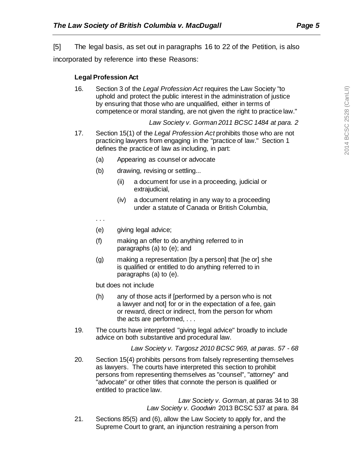[5] The legal basis, as set out in paragraphs 16 to 22 of the Petition, is also incorporated by reference into these Reasons:

### **Legal Profession Act**

16. Section 3 of the *Legal Profession Act* requires the Law Society "to uphold and protect the public interest in the administration of justice by ensuring that those who are unqualified, either in terms of competence or moral standing, are not given the right to practice law."

*Law Society v. Gorman 2011 BCSC 1484 at para. 2*

- 17. Section 15(1) of the *Legal Profession Act* prohibits those who are not practicing lawyers from engaging in the "practice of law." Section 1 defines the practice of law as including, in part:
	- (a) Appearing as counsel or advocate
	- (b) drawing, revising or settling...
		- (ii) a document for use in a proceeding, judicial or extrajudicial,
		- (iv) a document relating in any way to a proceeding under a statute of Canada or British Columbia,
	- . . .
	- (e) giving legal advice;
	- (f) making an offer to do anything referred to in paragraphs (a) to (e); and
	- (g) making a representation [by a person] that [he or] she is qualified or entitled to do anything referred to in paragraphs (a) to (e).

but does not include

- (h) any of those acts if [performed by a person who is not a lawyer and not] for or in the expectation of a fee, gain or reward, direct or indirect, from the person for whom the acts are performed, . . .
- 19. The courts have interpreted "giving legal advice" broadly to include advice on both substantive and procedural law.

#### *Law Society v. Targosz 2010 BCSC 969, at paras. 57 - 68*

20. Section 15(4) prohibits persons from falsely representing themselves as lawyers. The courts have interpreted this section to prohibit persons from representing themselves as "counsel", "attorney" and "advocate" or other titles that connote the person is qualified or entitled to practice law.

> *Law Society v. Gorman*, at paras 34 to 38 *Law Society v. Goodwin* 2013 BCSC 537 at para. 84

21. Sections 85(5) and (6), allow the Law Society to apply for, and the Supreme Court to grant, an injunction restraining a person from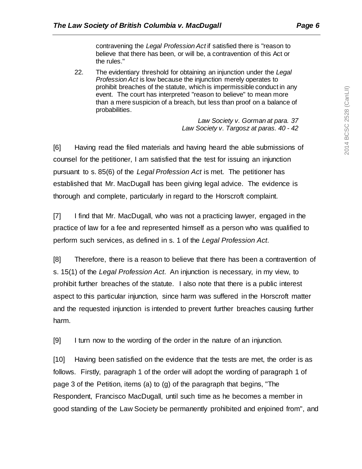contravening the *Legal Profession Act* if satisfied there is "reason to believe that there has been, or will be, a contravention of this Act or the rules."

22. The evidentiary threshold for obtaining an injunction under the *Legal Profession Act* is low because the injunction merely operates to prohibit breaches of the statute, which is impermissible conduct in any event. The court has interpreted "reason to believe" to mean more than a mere suspicion of a breach, but less than proof on a balance of probabilities.

> *Law Society v. Gorman at para. 37 Law Society v. Targosz at paras. 40 - 42*

[6] Having read the filed materials and having heard the able submissions of counsel for the petitioner, I am satisfied that the test for issuing an injunction pursuant to s. 85(6) of the *Legal Profession Act* is met. The petitioner has established that Mr. MacDugall has been giving legal advice. The evidence is thorough and complete, particularly in regard to the Horscroft complaint.

[7] I find that Mr. MacDugall, who was not a practicing lawyer, engaged in the practice of law for a fee and represented himself as a person who was qualified to perform such services, as defined in s. 1 of the *Legal Profession Act*.

[8] Therefore, there is a reason to believe that there has been a contravention of s. 15(1) of the *Legal Profession Act*. An injunction is necessary, in my view, to prohibit further breaches of the statute. I also note that there is a public interest aspect to this particular injunction, since harm was suffered in the Horscroft matter and the requested injunction is intended to prevent further breaches causing further harm.

[9] I turn now to the wording of the order in the nature of an injunction.

[10] Having been satisfied on the evidence that the tests are met, the order is as follows. Firstly, paragraph 1 of the order will adopt the wording of paragraph 1 of page 3 of the Petition, items (a) to (g) of the paragraph that begins, "The Respondent, Francisco MacDugall, until such time as he becomes a member in good standing of the Law Society be permanently prohibited and enjoined from", and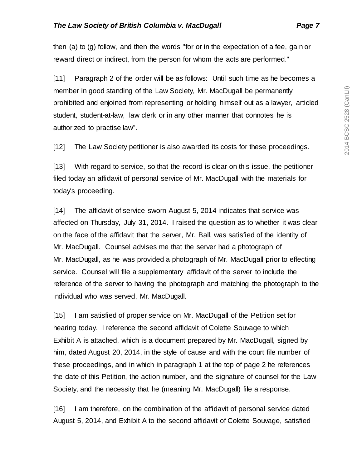then (a) to (g) follow, and then the words "for or in the expectation of a fee, gain or reward direct or indirect, from the person for whom the acts are performed."

[11] Paragraph 2 of the order will be as follows: Until such time as he becomes a member in good standing of the Law Society, Mr. MacDugall be permanently prohibited and enjoined from representing or holding himself out as a lawyer, articled student, student-at-law, law clerk or in any other manner that connotes he is authorized to practise law".

[12] The Law Society petitioner is also awarded its costs for these proceedings.

[13] With regard to service, so that the record is clear on this issue, the petitioner filed today an affidavit of personal service of Mr. MacDugall with the materials for today's proceeding.

[14] The affidavit of service sworn August 5, 2014 indicates that service was affected on Thursday, July 31, 2014. I raised the question as to whether it was clear on the face of the affidavit that the server, Mr. Ball, was satisfied of the identity of Mr. MacDugall. Counsel advises me that the server had a photograph of Mr. MacDugall, as he was provided a photograph of Mr. MacDugall prior to effecting service. Counsel will file a supplementary affidavit of the server to include the reference of the server to having the photograph and matching the photograph to the individual who was served, Mr. MacDugall.

[15] I am satisfied of proper service on Mr. MacDugall of the Petition set for hearing today. I reference the second affidavit of Colette Souvage to which Exhibit A is attached, which is a document prepared by Mr. MacDugall, signed by him, dated August 20, 2014, in the style of cause and with the court file number of these proceedings, and in which in paragraph 1 at the top of page 2 he references the date of this Petition, the action number, and the signature of counsel for the Law Society, and the necessity that he (meaning Mr. MacDugall) file a response.

[16] I am therefore, on the combination of the affidavit of personal service dated August 5, 2014, and Exhibit A to the second affidavit of Colette Souvage, satisfied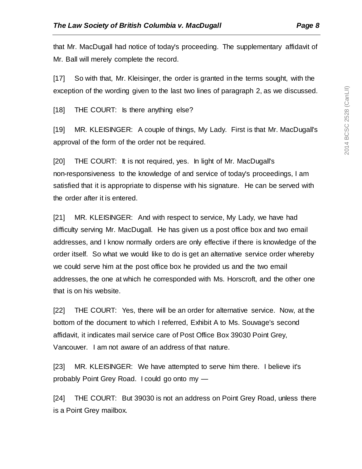that Mr. MacDugall had notice of today's proceeding. The supplementary affidavit of Mr. Ball will merely complete the record.

[17] So with that, Mr. Kleisinger, the order is granted in the terms sought, with the exception of the wording given to the last two lines of paragraph 2, as we discussed.

[18] THE COURT: Is there anything else?

[19] MR. KLEISINGER: A couple of things, My Lady. First is that Mr. MacDugall's approval of the form of the order not be required.

[20] THE COURT: It is not required, yes. In light of Mr. MacDugall's non-responsiveness to the knowledge of and service of today's proceedings, I am satisfied that it is appropriate to dispense with his signature. He can be served with the order after it is entered.

[21] MR. KLEISINGER: And with respect to service, My Lady, we have had difficulty serving Mr. MacDugall. He has given us a post office box and two email addresses, and I know normally orders are only effective if there is knowledge of the order itself. So what we would like to do is get an alternative service order whereby we could serve him at the post office box he provided us and the two email addresses, the one at which he corresponded with Ms. Horscroft, and the other one that is on his website.

[22] THE COURT: Yes, there will be an order for alternative service. Now, at the bottom of the document to which I referred, Exhibit A to Ms. Souvage's second affidavit, it indicates mail service care of Post Office Box 39030 Point Grey, Vancouver. I am not aware of an address of that nature.

[23] MR. KLEISINGER: We have attempted to serve him there. I believe it's probably Point Grey Road. I could go onto my —

[24] THE COURT: But 39030 is not an address on Point Grey Road, unless there is a Point Grey mailbox.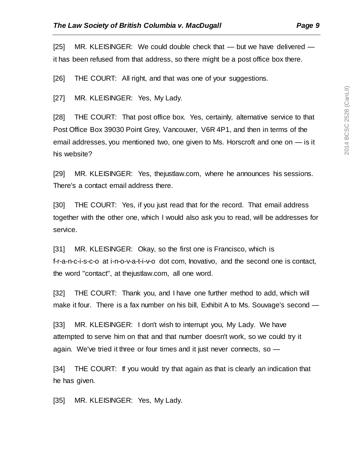[25] MR. KLEISINGER: We could double check that — but we have delivered it has been refused from that address, so there might be a post office box there.

[26] THE COURT: All right, and that was one of your suggestions.

[27] MR. KLEISINGER: Yes, My Lady.

[28] THE COURT: That post office box. Yes, certainly, alternative service to that Post Office Box 39030 Point Grey, Vancouver, V6R 4P1, and then in terms of the email addresses, you mentioned two, one given to Ms. Horscroft and one on — is it his website?

[29] MR. KLEISINGER: Yes, thejustlaw.com, where he announces his sessions. There's a contact email address there.

[30] THE COURT: Yes, if you just read that for the record. That email address together with the other one, which I would also ask you to read, will be addresses for service.

[31] MR. KLEISINGER: Okay, so the first one is Francisco, which is f-r-a-n-c-i-s-c-o at i-n-o-v-a-t-i-v-o dot com, Inovativo, and the second one is contact, the word "contact", at thejustlaw.com, all one word.

[32] THE COURT: Thank you, and I have one further method to add, which will make it four. There is a fax number on his bill, Exhibit A to Ms. Souvage's second —

[33] MR. KLEISINGER: I don't wish to interrupt you, My Lady. We have attempted to serve him on that and that number doesn't work, so we could try it again. We've tried it three or four times and it just never connects, so —

[34] THE COURT: If you would try that again as that is clearly an indication that he has given.

[35] MR. KLEISINGER: Yes, My Lady.